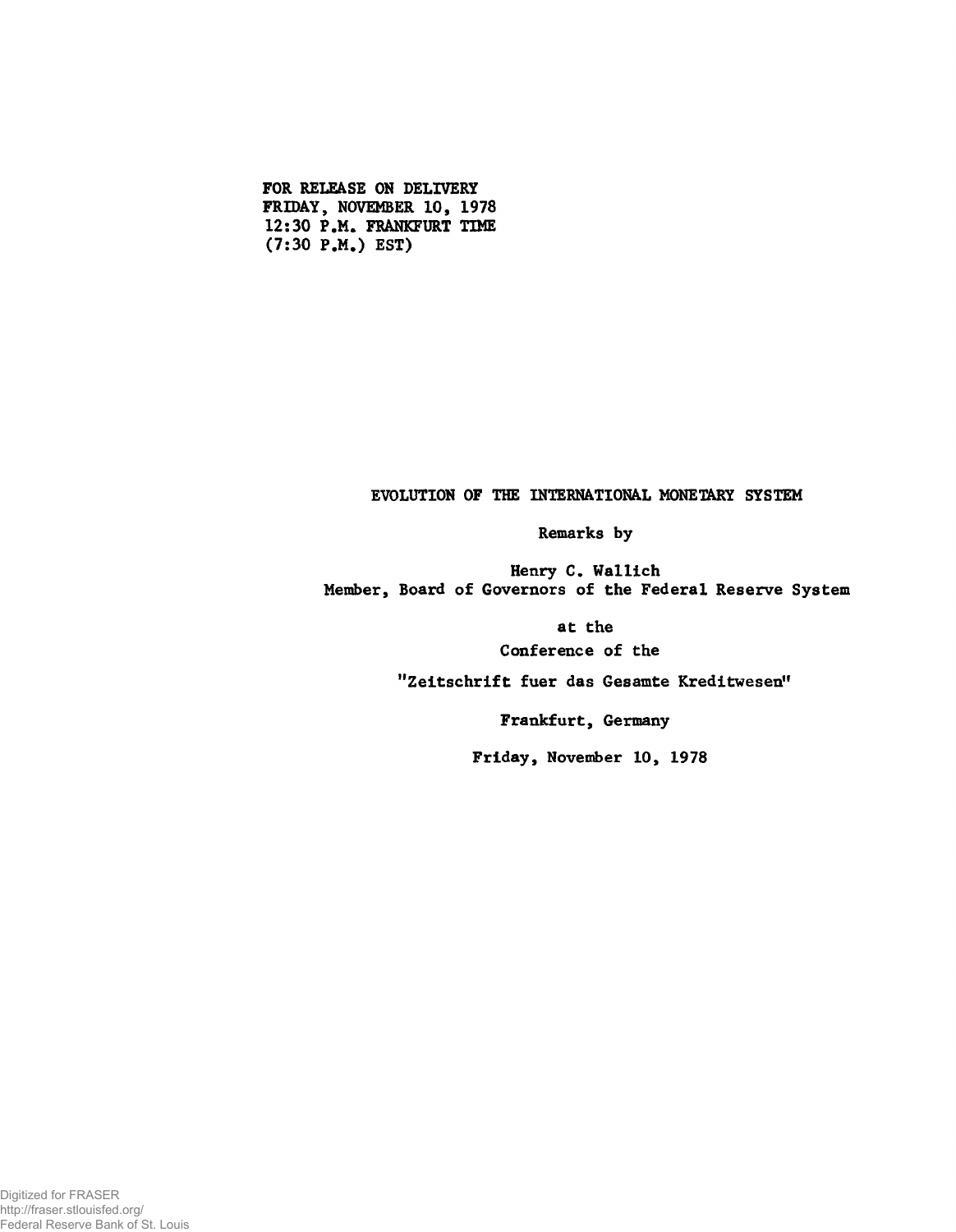FOR RELEASE ON DELIVERY FRIDAY, NOVEMBER IO, 1978 12:30 P.M. FRANKFURT TIME (7:30 P.M.) EST)

## EVOLUTION OF THE INTERNATIONAL MONETARY SYSTEM

Remarks by

Henry C. Wallich Member, Board of Governors of the Federal Reserve System

at the

Conference of the

"Zeitschrift fuer das Gesamte Kreditwesen"

Frankfurt, Germany

Friday, November 10, 1978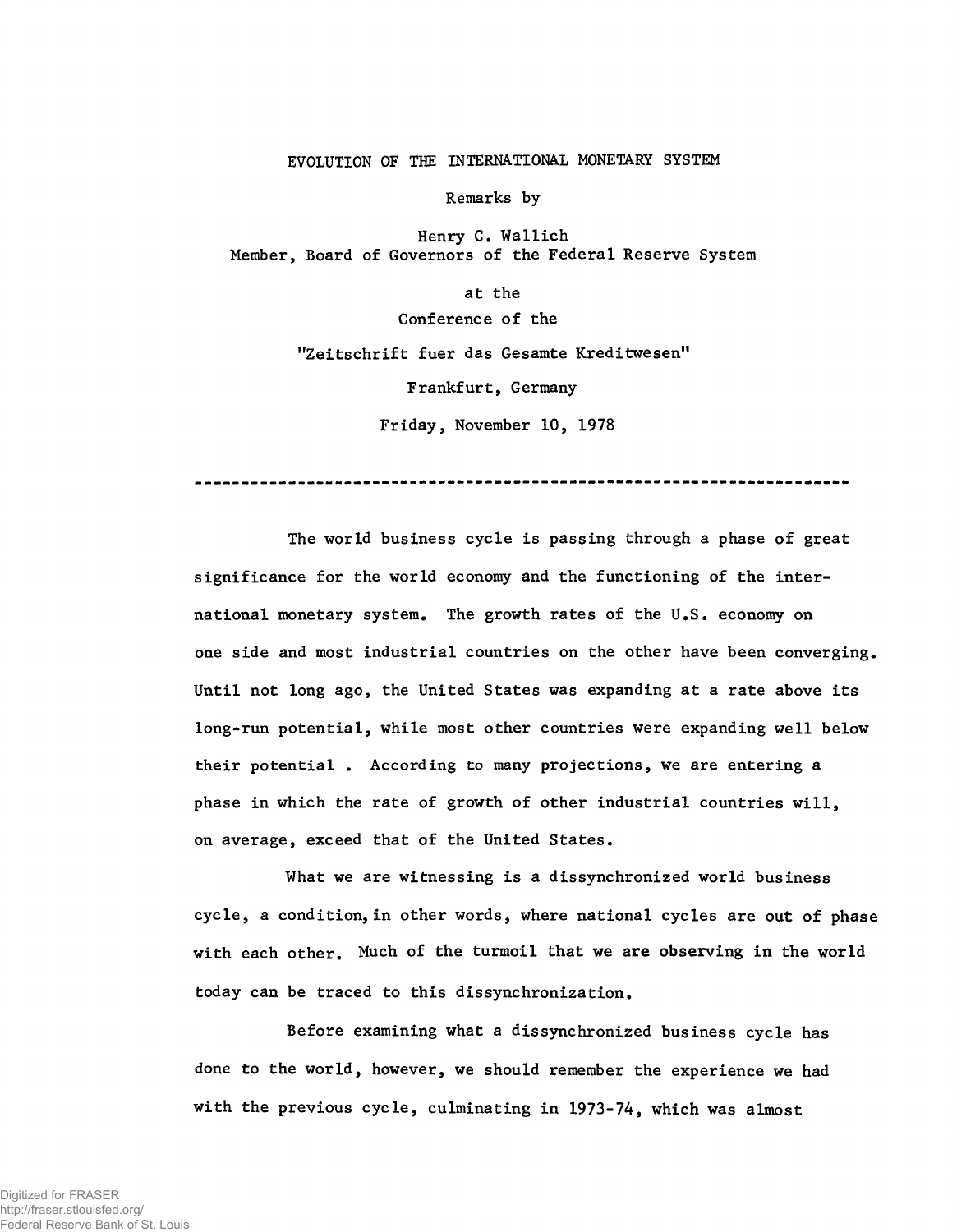## EVOLUTION OF THE INTERNATIONAL MONETARY SYSTEM

Remarks by

Henry C. Wallich Member, Board of Governors of the Federal Reserve System

> at the Conference of the "Zeitschrift fuer das Gesamte Kreditwesen" Frankfurt, Germany Friday, November 10, 1978

The world business cycle is passing through a phase of great significance for the world economy and the functioning of the international monetary system. The growth rates of the U.S. economy on one side and most industrial countries on the other have been converging Until not long ago, the United States was expanding at a rate above its long-run potential, while most other countries were expanding well below their potential . According to many projections, we are entering a phase in which the rate of growth of other industrial countries will, on average, exceed that of the United States.

What we are witnessing is a dissynchronized world business cycle, a condition, in other words, where national cycles are out of phas with each other. Much of the turmoil that we are observing in the world today can be traced to this dissynchronization.

Before examining what a dissynchronized business cycle has done to the world, however, we should remember the experience we had with the previous cycle, culminating in 1973-74, which was almost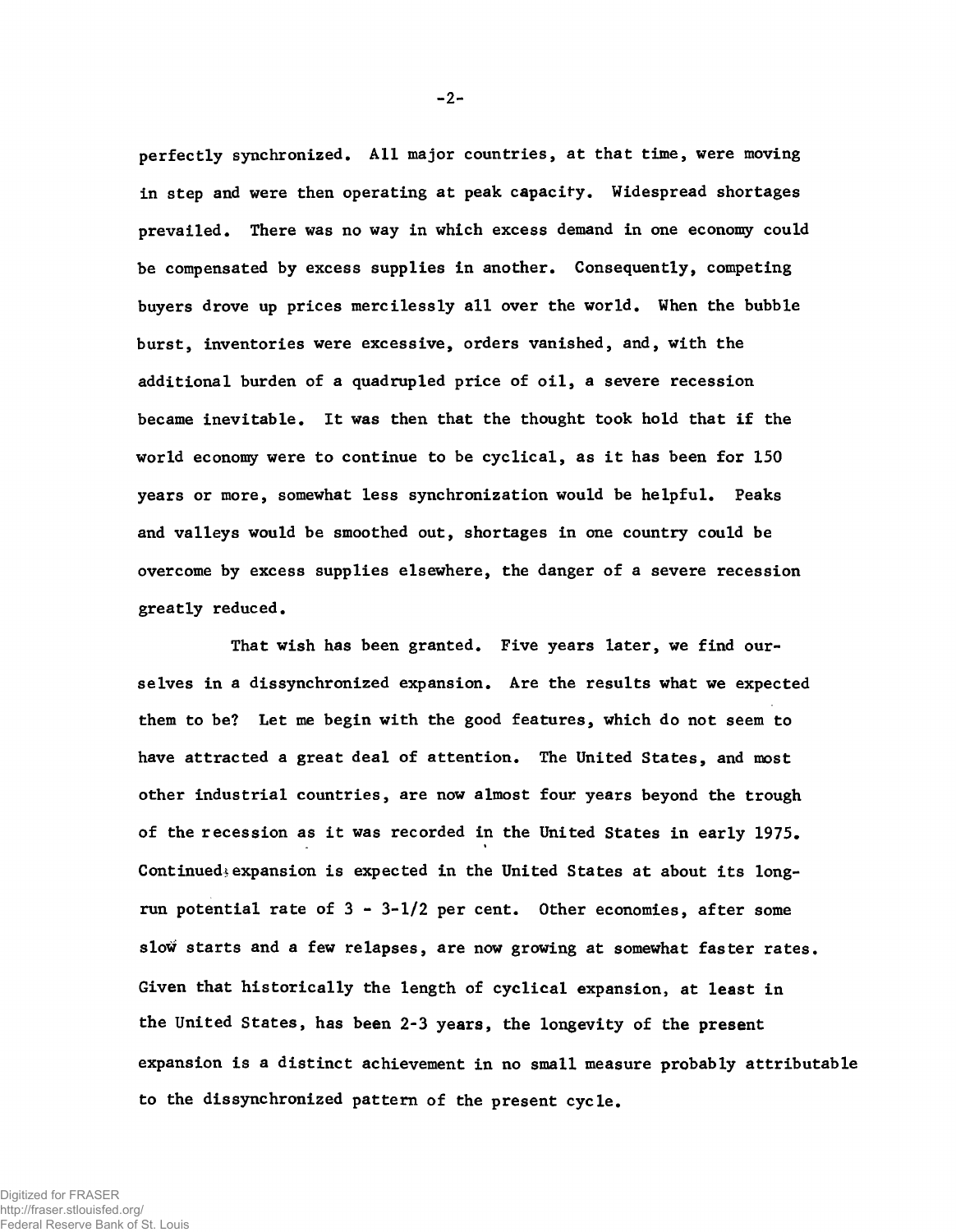perfectly synchronized. All major countries, at that time, were moving in step and were then operating at peak capacity. Widespread shortages prevailed. There was no way in which excess demand in one economy could be compensated by excess supplies in another. Consequently, competing buyers drove up prices mercilessly all over the world. When the bubble burst, inventories were excessive, orders vanished, and, with the additional burden of a quadrupled price of oil, a severe recession became inevitable. It was then that the thought took hold that if the world economy were to continue to be cyclical, as it has been for 150 years or more, somewhat less synchronization would be helpful. Peaks and valleys would be smoothed out, shortages in one country could be overcome by excess supplies elsewhere, the danger of a severe recession greatly reduced.

That wish has been granted. Five years later, we find ourselves in a dissynchronized expansion. Are the results what we expected them to be? Let me begin with the good features, which do not seem to have attracted a great deal of attention. The United States, and most other industrial countries, are now almost four years beyond the trough of the recession as it was recorded in the United States in early 1975. Continued expansion is expected in the United States at about its longrun potential rate of  $3 - 3 - 1/2$  per cent. Other economies, after some slow starts and a few relapses, are now growing at somewhat faster rates. Given that historically the length of cyclical expansion, at least in the United States, has been 2-3 years, the longevity of the present expansion is a distinct achievement in no small measure probably attributable to the dissynchronized pattern of the present cycle.

**-2-**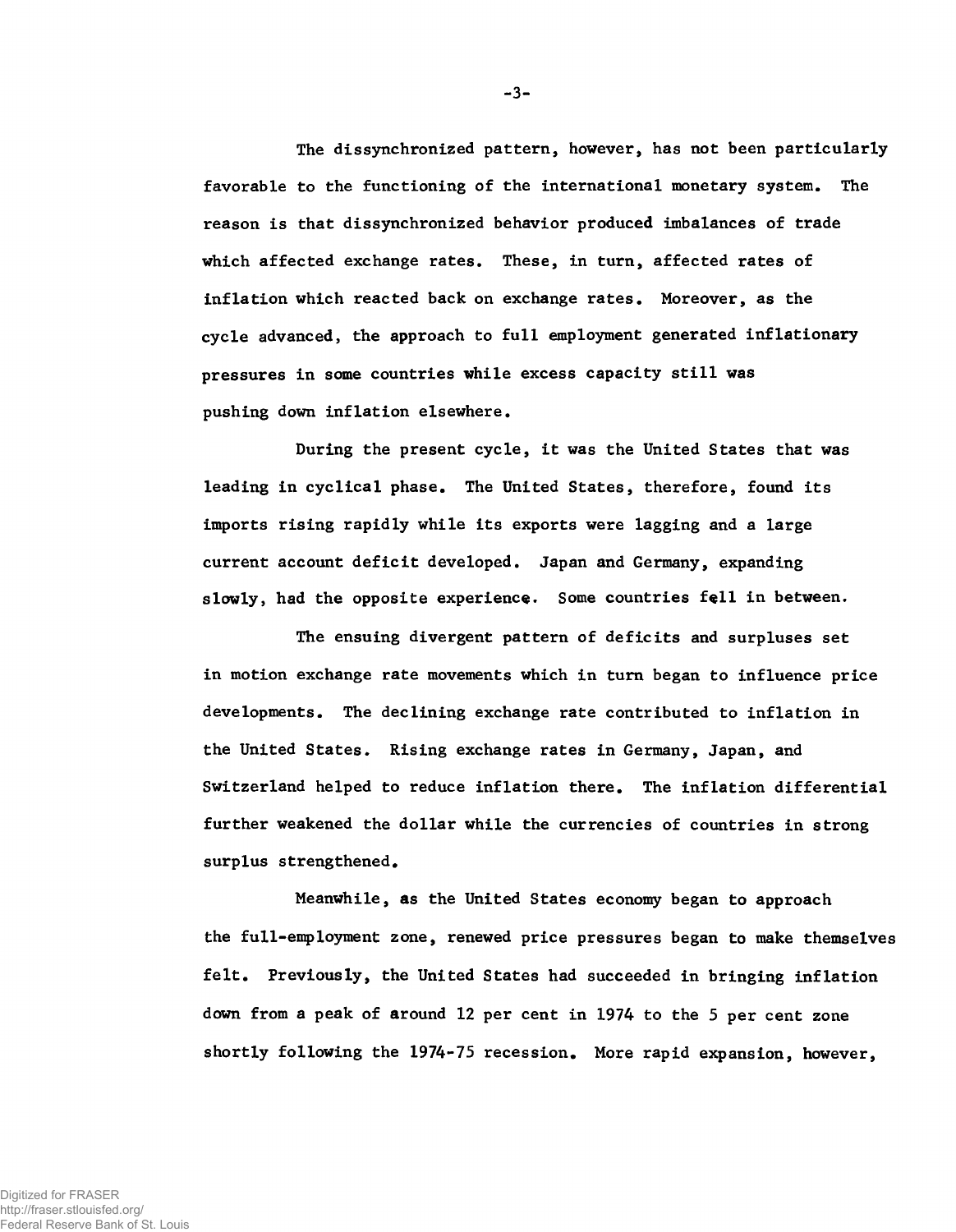The dissynchronized pattern, however, has not been particularly favorable to the functioning of the international monetary system. The reason is that dissynchronized behavior produced imbalances of trade which affected exchange rates. These, in turn, affected rates of inflation which reacted back on exchange rates. Moreover, as the cycle advanced, the approach to full employment generated inflationary pressures in some countries while excess capacity still was pushing down inflation elsewhere.

During the present cycle, it was the United States that was leading in cyclical phase. The United States, therefore, found its imports rising rapidly while its exports were lagging and a large current account deficit developed. Japan and Germany, expanding slowly, had the opposite experience. Some countries fell in between.

The ensuing divergent pattern of deficits and surpluses set in motion exchange rate movements which in turn began to influence price developments. The declining exchange rate contributed to inflation in the United States. Rising exchange rates in Germany, Japan, and Switzerland helped to reduce inflation there. The inflation differential further weakened the dollar while the currencies of countries in strong surplus strengthened.

Meanwhile, as the United States economy began to approach the full-employment zone, renewed price pressures began to make themselves felt. Previously, the United States had succeeded in bringing inflation down from a peak of around 12 per cent in 1974 to the 5 per cent zone shortly following the 1974-75 recession. More rapid expansion, however,

**-3-**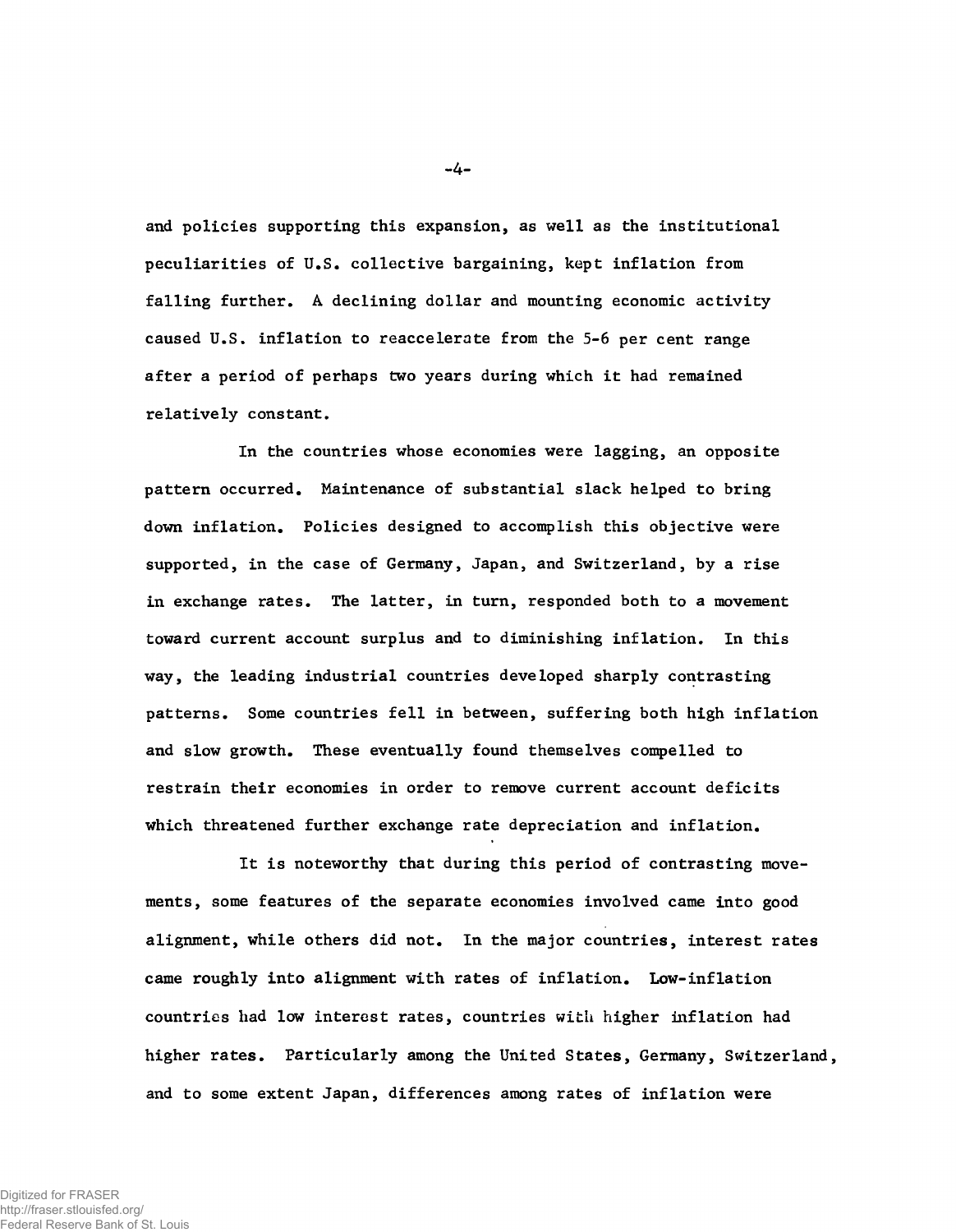and policies supporting this expansion, as well as the institutional peculiarities of U.S. collective bargaining, kept inflation from falling further. A declining dollar and mounting economic activity caused U.S. inflation to reaccelerate from the 5-6 per cent range after a period of perhaps two years during which it had remained relatively constant.

In the countries whose economies were lagging, an opposite pattern occurred. Maintenance of substantial slack helped to bring down inflation. Policies designed to accomplish this objective were supported, in the case of Germany, Japan, and Switzerland, by a rise in exchange rates. The latter, in turn, responded both to a movement toward current account surplus and to diminishing inflation. In this way, the leading industrial countries developed sharply contrasting patterns. Some countries fell in between, suffering both high inflation and slow growth. These eventually found themselves compelled to restrain their economies in order to remove current account deficits which threatened further exchange rate depreciation and inflation.

It is noteworthy that during this period of contrasting movements, some features of the separate economies involved came into good alignment, while others did not. In the major countries, interest rates came roughly into alignment with rates of inflation. Low-inflation countries had low interest rates, countries with higher inflation had higher rates. Particularly among the United States, Germany, Switzerland, and to some extent Japan, differences among rates of inflation were

**-4-**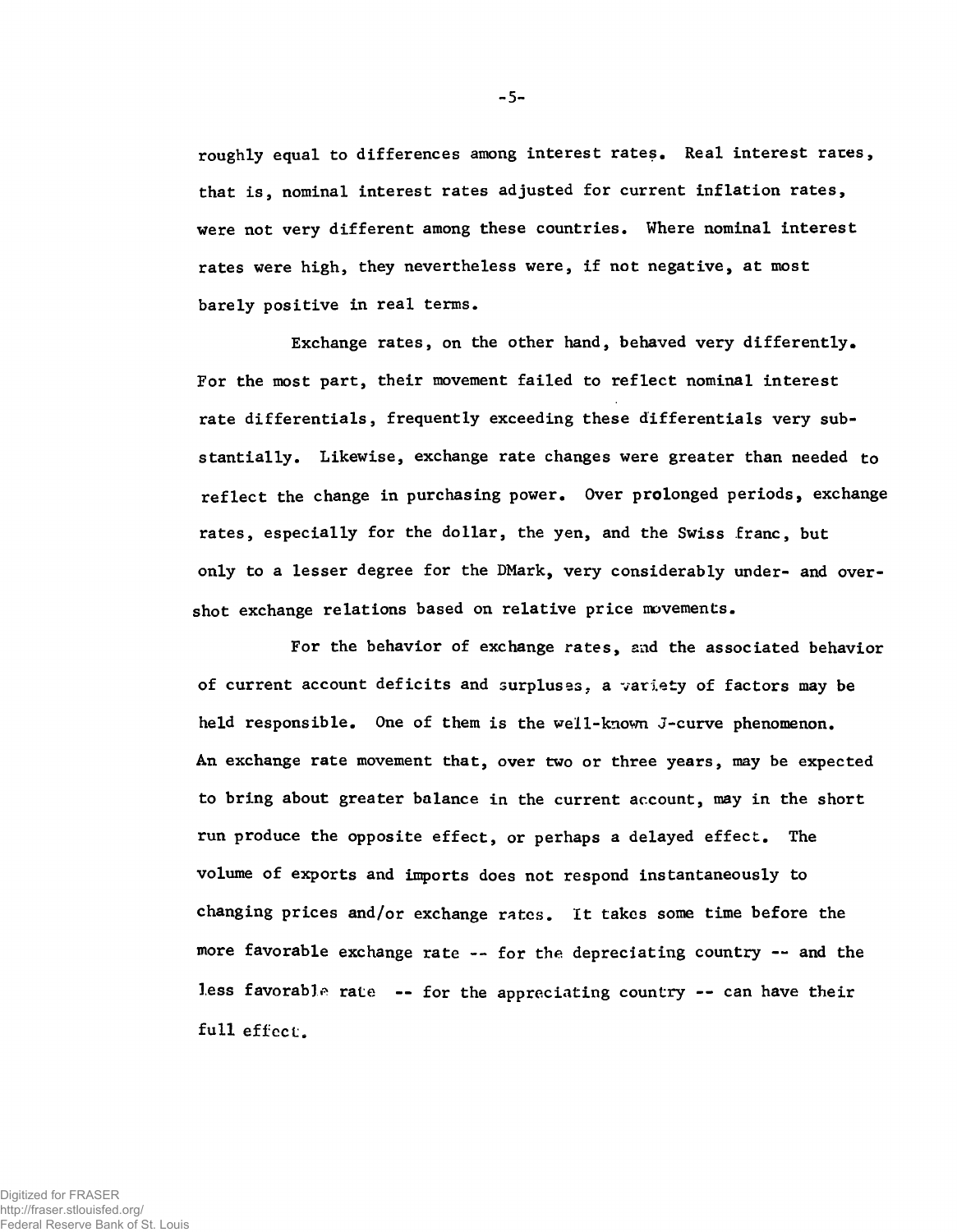roughly equal to differences among interest rates. Real interest rates, that is, nominal interest rates adjusted for current inflation rates, were not very different among these countries. Where nominal interest rates were high, they nevertheless were, if not negative, at most barely positive in real terms.

Exchange rates, on the other hand, behaved very differently. For the most part, their movement failed to reflect nominal interest rate differentials, frequently exceeding these differentials very substantially. Likewise, exchange rate changes were greater than needed to reflect the change in purchasing power. Over prolonged periods, exchange rates, especially for the dollar, the yen, and the Swiss franc, but only to a lesser degree for the DMark, very considerably under- and overshot exchange relations based on relative price movements.

For the behavior of exchange rates, and the associated behavior of current account deficits and surpluses, a variety of factors may be held responsible. One of them is the well-known J-curve phenomenon. An exchange rate movement that, over two or three years, may be expected to bring about greater balance in the current account, may in the short run produce the opposite effect, or perhaps a delayed effect. The volume of exports and imports does not respond instantaneously to changing prices and/or exchange rates. It takes some time before the more favorable exchange rate -- for the depreciating country -- and the less favorable rate -- for the appreciating country -- can have their full effect.

**-5-**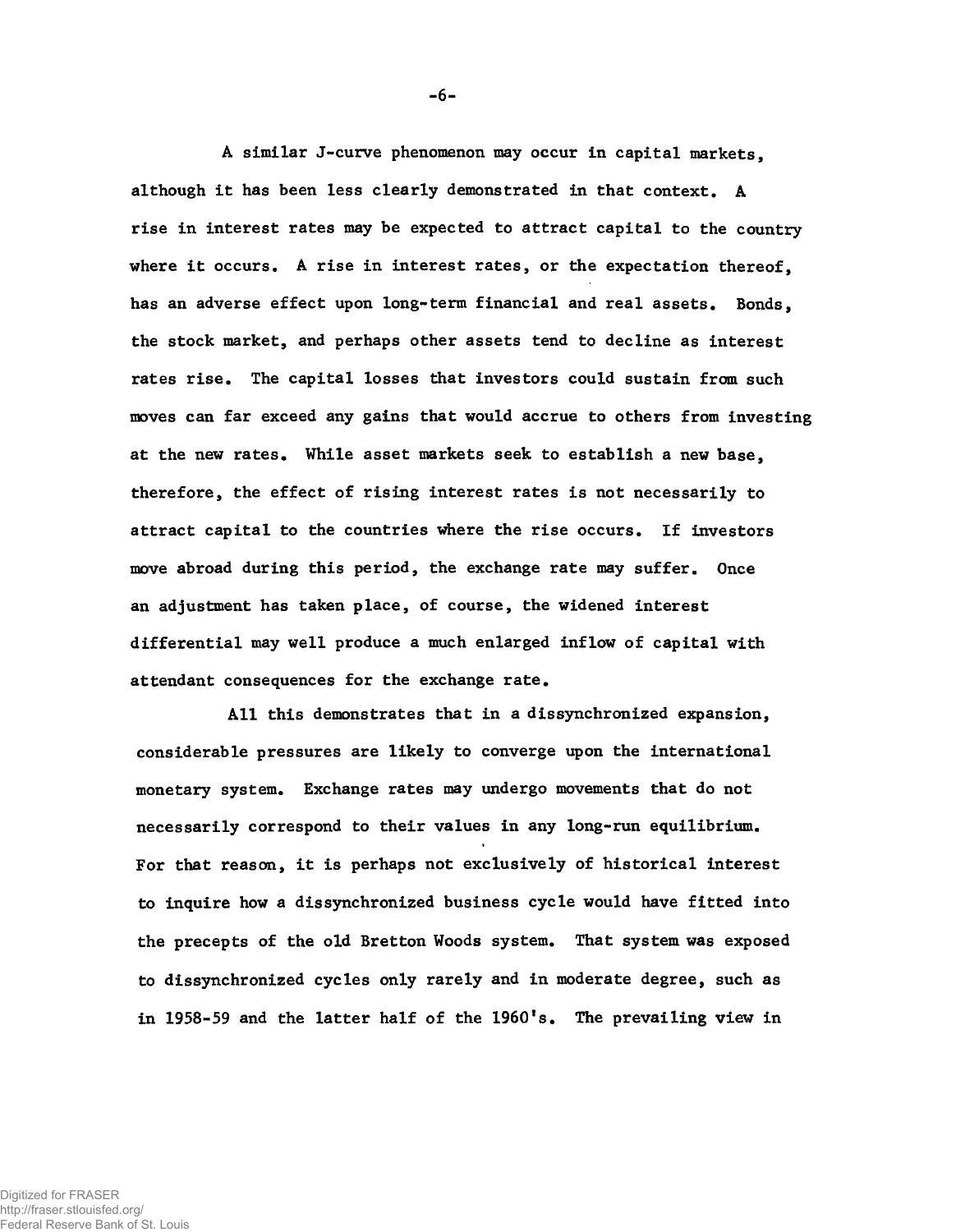A similar J-curve phenomenon may occur in capital markets, although it has been less clearly demonstrated in that context. A rise in interest rates may be expected to attract capital to the country where it occurs. A rise in interest rates, or the expectation thereof, has an adverse effect upon long-term financial and real assets. Bonds. the stock market, and perhaps other assets tend to decline as interest rates rise. The capital losses that investors could sustain from such moves can far exceed any gains that would accrue to others from investing at the new rates. While asset markets seek to establish a new base, therefore, the effect of rising interest rates is not necessarily to attract capital to the countries where the rise occurs. If investors move abroad during this period, the exchange rate may suffer. Once an adjustment has taken place, of course, the widened interest differential may well produce a much enlarged inflow of capital with attendant consequences for the exchange rate.

All this demonstrates that in a dissynchronized expansion, considerable pressures are likely to converge upon the international monetary system. Exchange rates may undergo movements that do not necessarily correspond to their values in any long-run equilibrium. For that reason, it is perhaps not exclusively of historical interest to inquire how a dissynchronized business cycle would have fitted into the precepts of the old Bretton Woods system. That system was exposed to dissynchronized cycles only rarely and in moderate degree, such as in 1958-59 and the latter half of the  $1960's$ . The prevailing view in

**-6-**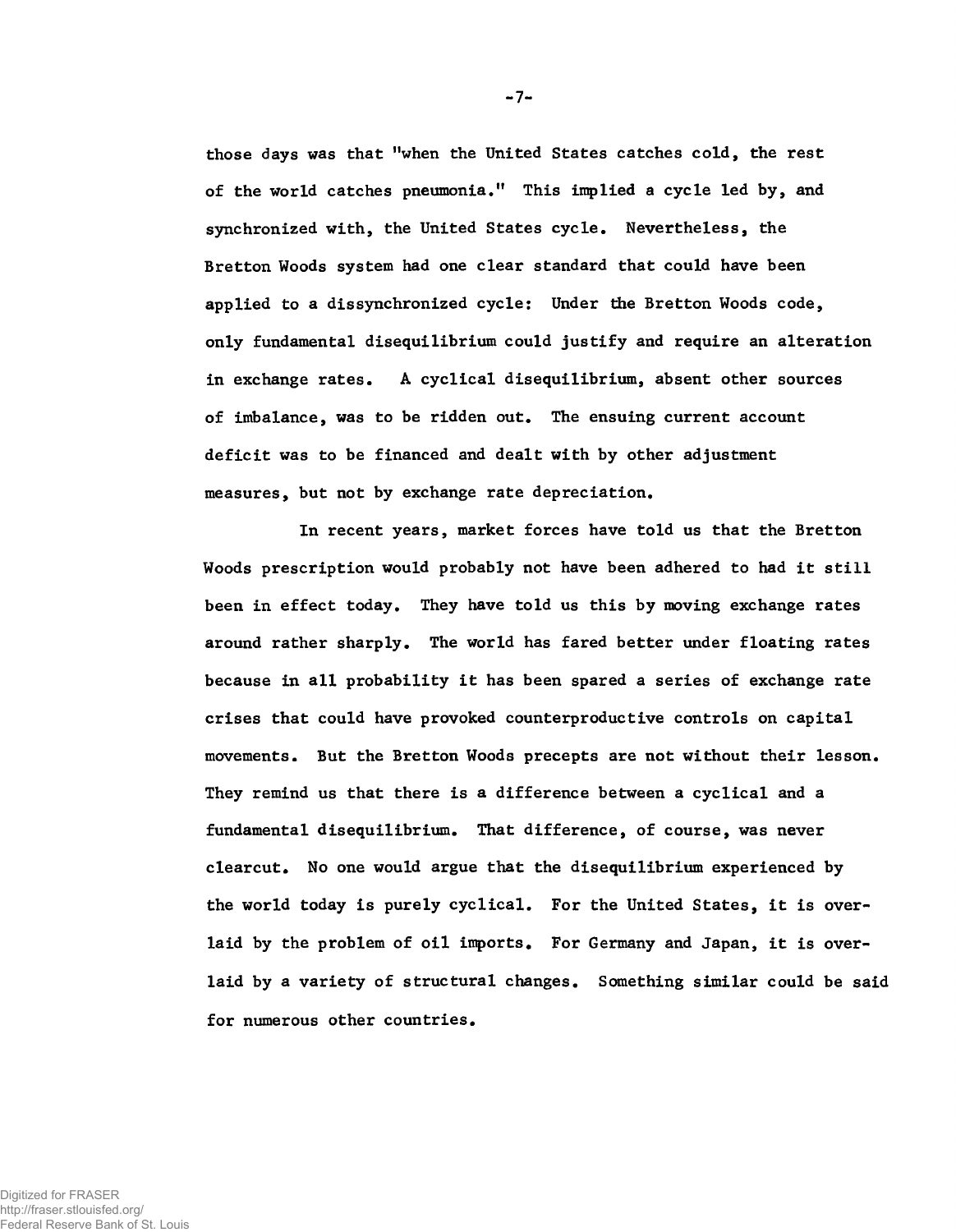those days was that "when the United States catches cold, the rest of the world catches pneumonia." This implied a cycle led by, and synchronized with, the United States cycle. Nevertheless, the Bretton Woods system had one clear standard that could have been applied to a dissynchronized cycle: Under the Bretton Woods code, only fundamental disequilibrium could justify and require an alteration in exchange rates. A cyclical disequilibrium, absent other sources of imbalance, was to be ridden out. The ensuing current account deficit was to be financed and dealt with by other adjustment measures, but not by exchange rate depreciation.

In recent years, market forces have told us that the Bretton Woods prescription would probably not have been adhered to had it still been in effect today. They have told us this by moving exchange rates around rather sharply. The world has fared better under floating rates because in all probability it has been spared a series of exchange rate crises that could have provoked counterproductive controls on capital movements. But the Bretton Woods precepts are not without their lesson. They remind us that there is a difference between a cyclical and a fundamental disequilibrium. That difference, of course, was never clearcut. No one would argue that the disequilibrium experienced by the world today is purely cyclical. For the United States, it is overlaid by the problem of oil imports. For Germany and Japan, it is overlaid by a variety of structural changes. Something similar could be said for numerous other countries.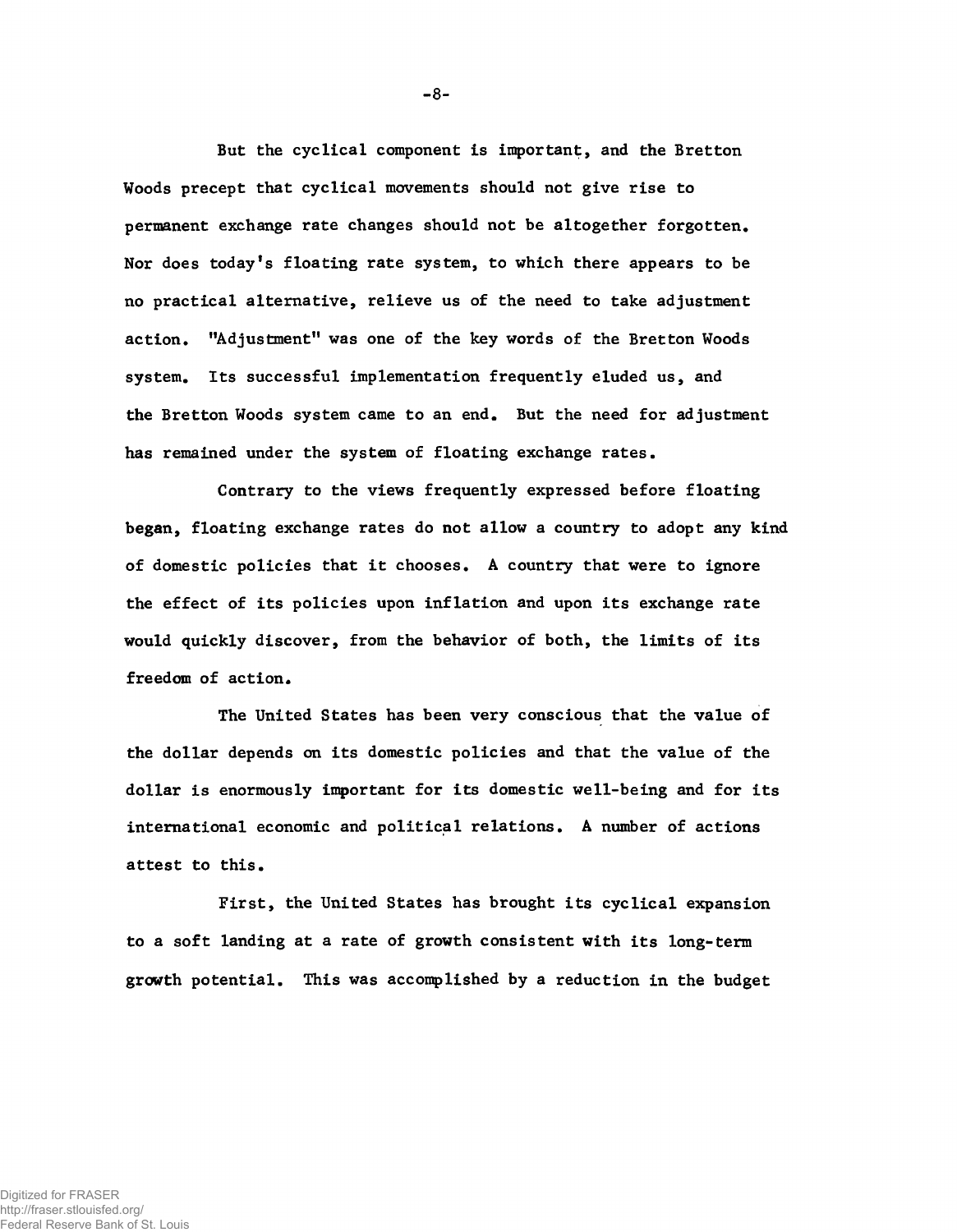But the cyclical component is important, and the Bretton Woods precept that cyclical movements should not give rise to permanent exchange rate changes should not be altogether forgotten. Nor does today's floating rate system, to which there appears to be no practical alternative, relieve us of the need to take adjustment action. "Adjustment" was one of the key words of the Bretton Woods system. Its successful implementation frequently eluded us, and the Bretton Woods system came to an end. But the need for adjustment has remained under the system of floating exchange rates.

Contrary to the views frequently expressed before floating began, floating exchange rates do not allow a country to adopt any kind of domestic policies that it chooses. A country that were to ignore the effect of its policies upon inflation and upon its exchange rate would quickly discover, from the behavior of both, the limits of its freedom of action.

The United States has been very conscious that the value of the dollar depends on its domestic policies and that the value of the dollar is enormously important for its domestic well-being and for its international economic and political relations. A number of actions attest to this.

First, the United States has brought its cyclical expansion to a soft landing at a rate of growth consistent with its long-term growth potential. This was accomplished by a reduction in the budget

**-8-**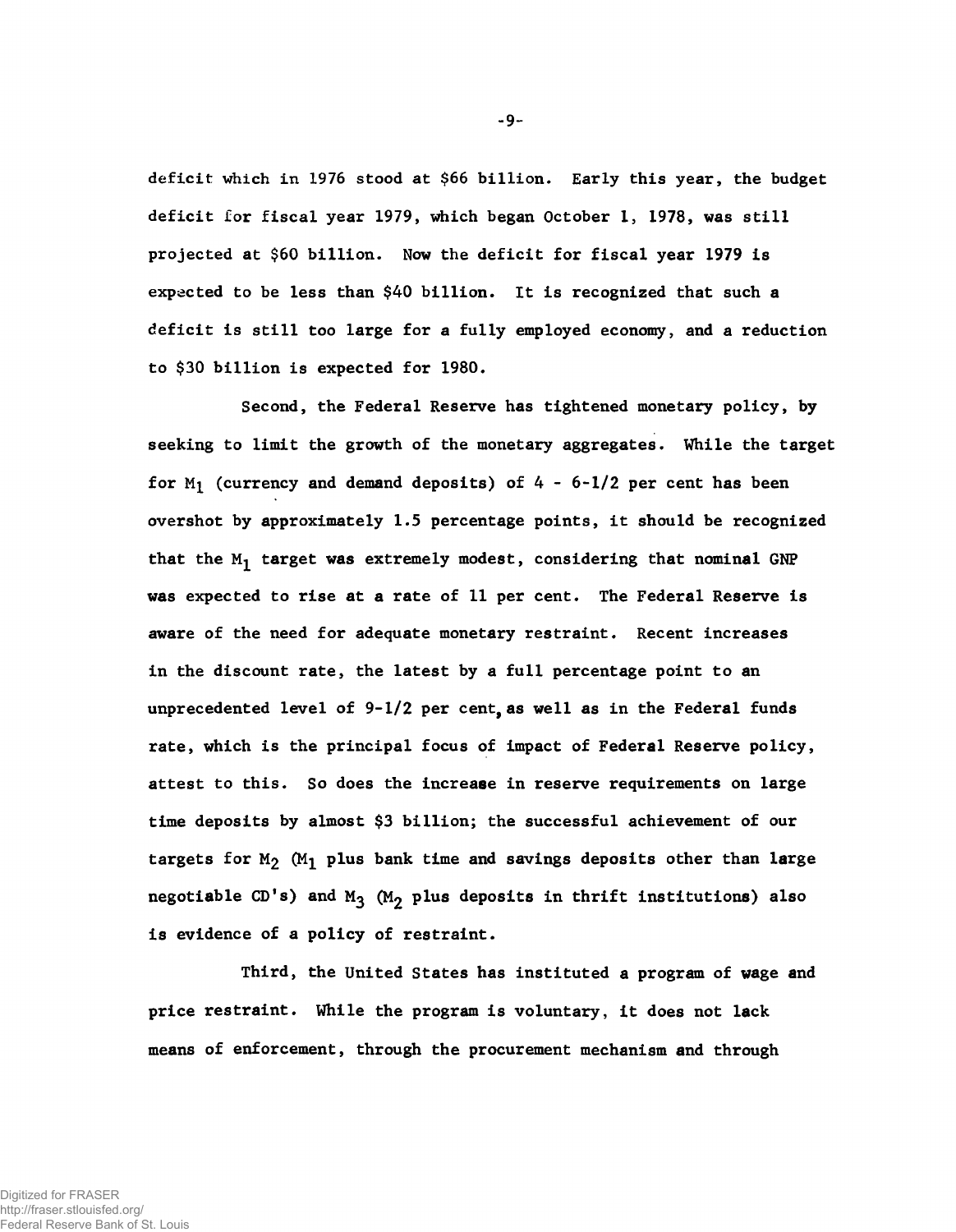**deficit which in** 1976 **stood at** \$66 **billion. Early this year, the budget deficit for fiscal year** 1979, **which began October** 1, 1978, **was still projected at** \$60 **billion. Now the deficit for fiscal year** 1979 **is expected to be less than** \$40 **billion. It is recognized that such** a **deficit is still too large for a fully employed economy, and a reduction to** \$30 **billion is expected for** 1980.

Second, the Federal Reserve has tightened monetary policy, by seeking to limit the growth of the monetary aggregates. While the target for  $M_1$  (currency and demand deposits) of 4 - 6-1/2 per cent has been overshot by approximately 1.5 percentage points, it should be recognized that the  $M_1$  target was extremely modest, considering that nominal GNP was expected to rise at a rate of 11 per cent. The Federal Reserve is aware of the need for adequate monetary restraint. Recent increases in the discount rate, the latest by a full percentage point to an unprecedented level of 9-1/2 per cent, as well as in the Federal funds rate, which is the principal focus of impact of Federal Reserve policy, attest to this. So does the increase in reserve requirements on large time deposits by almost \$3 billion; the successful achievement of our targets for  $M_2$  (M<sub>1</sub> plus bank time and savings deposits other than large negotiable CD's) and M<sub>3</sub> (M<sub>2</sub> plus deposits in thrift institutions) also is evidence of a policy of restraint.

**Third, the United States has instituted a program of wage and price restraint. While the program is voluntary, it does not lack means of enforcement, through the procurement mechanism and through**

**-9-**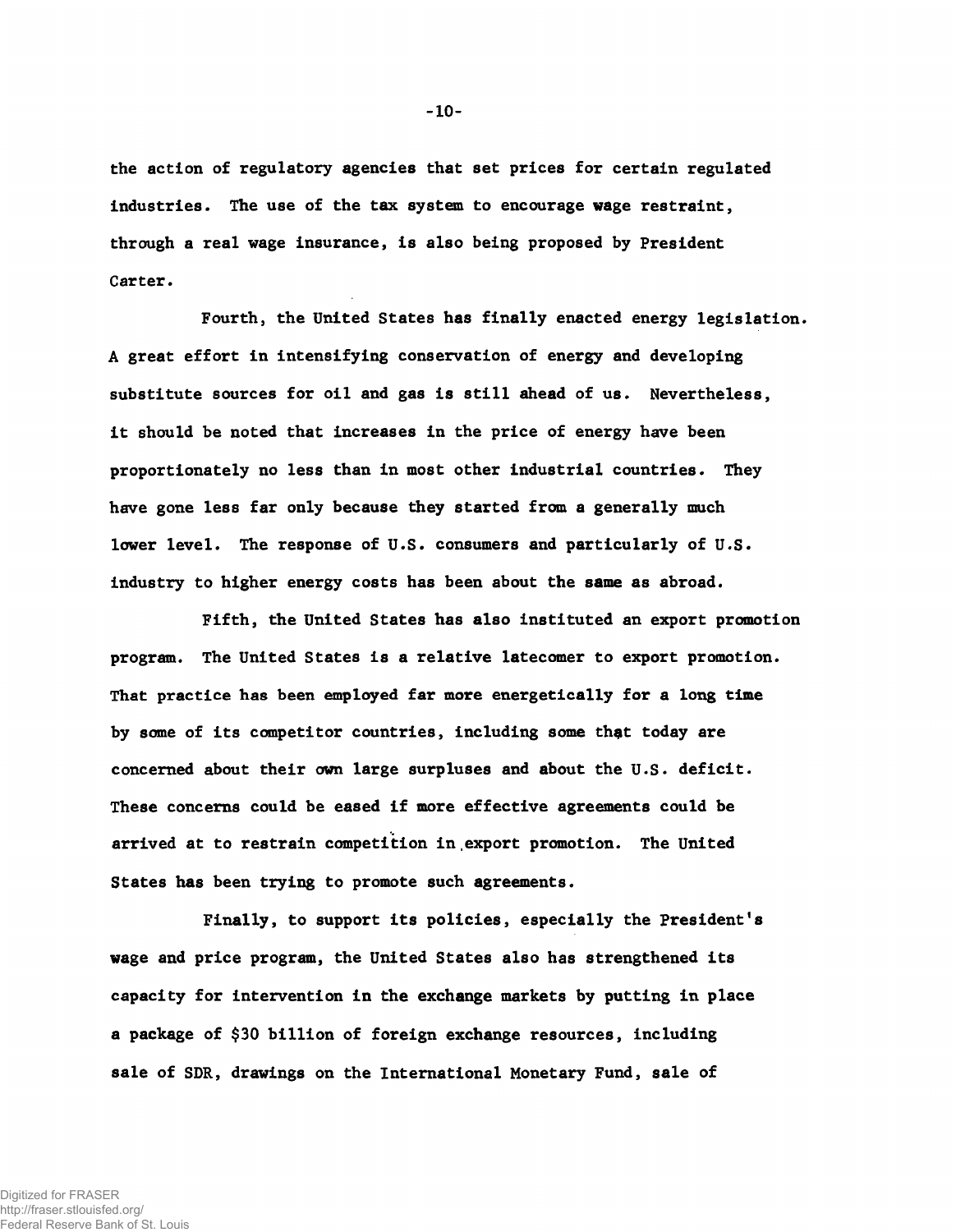the action of regulatory agencies that set prices for certain regulated industries. The use of the tax system to encourage wage restraint, through a real wage insurance, is also being proposed by President Carter.

Fourth, the United States has finally enacted energy legislation. A great effort in intensifying conservation of energy and developing substitute sources for oil and gas is still ahead of us. Nevertheless, it should be noted that increases in the price of energy have been proportionately no less than in most other industrial countries. They have gone less far only because they started from a generally much lower level. The response of U.S. consumers and particularly of U.S. industry to higher energy costs has been about the same as abroad.

Fifth, the United States has also instituted an export promotion program. The United States is a relative latecomer to export promotion. That practice has been employed far more energetically for a long time by some of its competitor countries, including some that today are concerned about their own large surpluses and about the U.S. deficit. These concerns could be eased if more effective agreements could be arrived at to restrain competition in.export promotion. The United States has been trying to promote such agreements.

Finally, to support its policies, especially the President's wage and price program, the United States also has strengthened its capacity for intervention in the exchange markets by putting in place a package of \$30 billion of foreign exchange resources, including sale of SDR, drawings on the International Monetary Fund, sale of

**-** 10**-**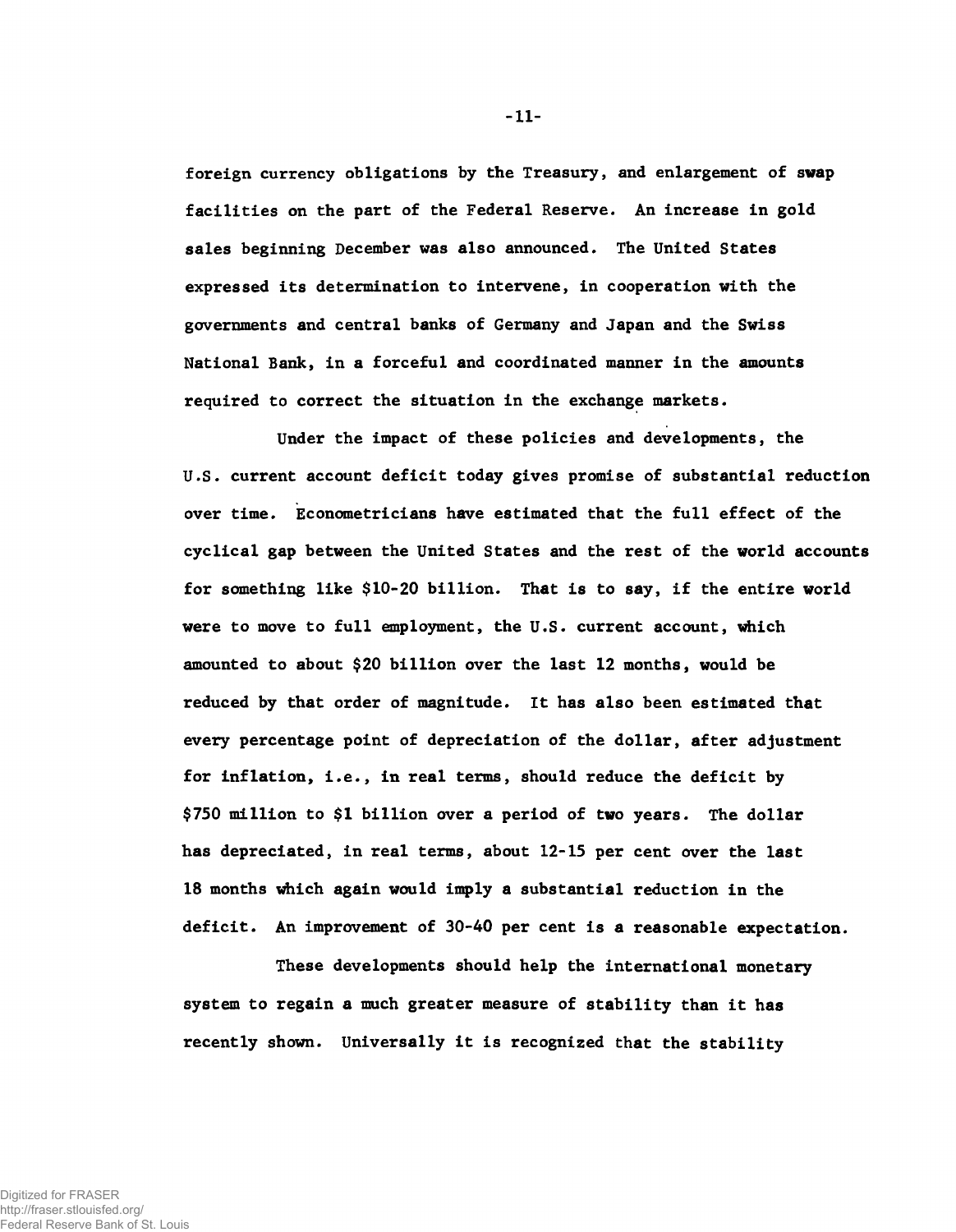foreign currency obligations by the Treasury, and enlargement of swap facilities on the part of the Federal Reserve. An increase in gold sales beginning December was also announced. The United States expressed its determination to intervene, in cooperation with the governments and central banks of Germany and Japan and the Swiss National Bank, in a forceful and coordinated manner in the amounts required to correct the situation in the exchange markets.

Under the impact of these policies and developments, the U.S. current account deficit today gives promise of substantial reduction over time. Econometricians have estimated that the full effect of the cyclical gap between the United States and the rest of the world accounts for something like \$10-20 billion. That is to say, if the entire world were to move to full employment, the U.S. current account, which amounted to about \$20 billion over the last 12 months, would be reduced by that order of magnitude. It has also been estimated that every percentage point of depreciation of the dollar, after adjustment for inflation, i.e., in real terms, should reduce the deficit by \$750 million to \$1 billion over a period of two years. The dollar has depreciated, in real terms, about 12-15 per cent over the last 18 months which again would imply a substantial reduction in the deficit. An improvement of 30-40 per cent is a reasonable expectation.

These developments should help the international monetary system to regain a much greater measure of stability than it has recently shown. Universally it is recognized that the stability

**-** 11**-**